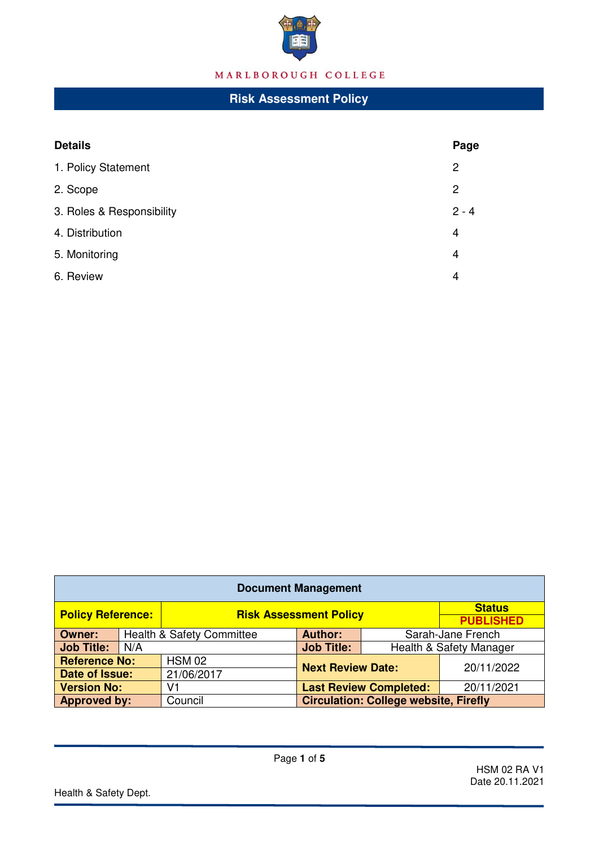

# MARLBOROUGH COLLEGE

## **Risk Assessment Policy**

| <b>Details</b>            | Page           |
|---------------------------|----------------|
| 1. Policy Statement       | 2              |
| 2. Scope                  | $\overline{c}$ |
| 3. Roles & Responsibility | $2 - 4$        |
| 4. Distribution           | 4              |
| 5. Monitoring             | 4              |
| 6. Review                 | 4              |

| <b>Document Management</b> |     |                                      |                                              |                         |                                   |  |  |  |  |
|----------------------------|-----|--------------------------------------|----------------------------------------------|-------------------------|-----------------------------------|--|--|--|--|
| <b>Policy Reference:</b>   |     | <b>Risk Assessment Policy</b>        |                                              |                         | <b>Status</b><br><b>PUBLISHED</b> |  |  |  |  |
| <b>Owner:</b>              |     | <b>Health &amp; Safety Committee</b> | <b>Author:</b>                               | Sarah-Jane French       |                                   |  |  |  |  |
| <b>Job Title:</b>          | N/A |                                      | <b>Job Title:</b>                            | Health & Safety Manager |                                   |  |  |  |  |
| <b>Reference No:</b>       |     | <b>HSM 02</b>                        | <b>Next Review Date:</b>                     |                         | 20/11/2022                        |  |  |  |  |
| Date of Issue:             |     | 21/06/2017                           |                                              |                         |                                   |  |  |  |  |
| <b>Version No:</b>         |     | V1                                   | <b>Last Review Completed:</b>                |                         | 20/11/2021                        |  |  |  |  |
| <b>Approved by:</b>        |     | Council                              | <b>Circulation: College website, Firefly</b> |                         |                                   |  |  |  |  |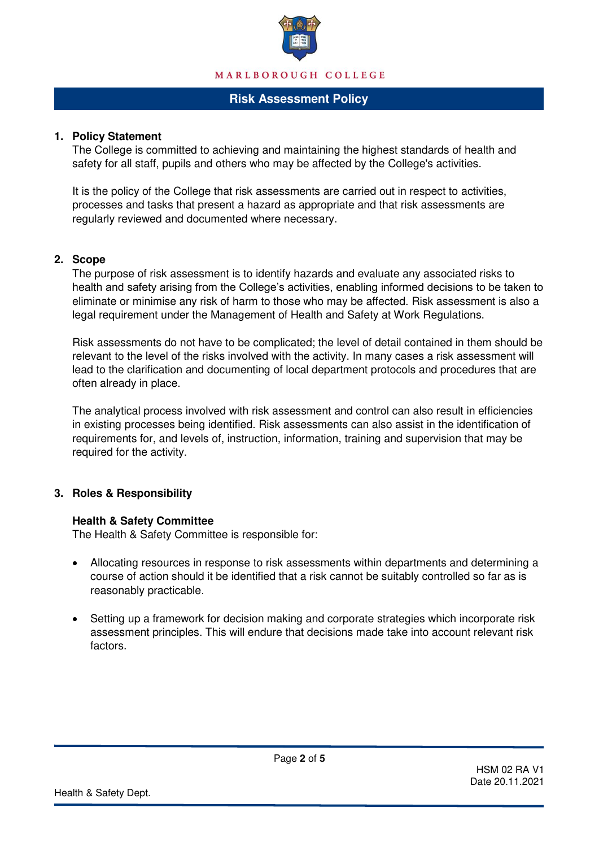

## **Risk Assessment Policy**

### **1. Policy Statement**

The College is committed to achieving and maintaining the highest standards of health and safety for all staff, pupils and others who may be affected by the College's activities.

It is the policy of the College that risk assessments are carried out in respect to activities, processes and tasks that present a hazard as appropriate and that risk assessments are regularly reviewed and documented where necessary.

### **2. Scope**

The purpose of risk assessment is to identify hazards and evaluate any associated risks to health and safety arising from the College's activities, enabling informed decisions to be taken to eliminate or minimise any risk of harm to those who may be affected. Risk assessment is also a legal requirement under the Management of Health and Safety at Work Regulations.

Risk assessments do not have to be complicated; the level of detail contained in them should be relevant to the level of the risks involved with the activity. In many cases a risk assessment will lead to the clarification and documenting of local department protocols and procedures that are often already in place.

The analytical process involved with risk assessment and control can also result in efficiencies in existing processes being identified. Risk assessments can also assist in the identification of requirements for, and levels of, instruction, information, training and supervision that may be required for the activity.

### **3. Roles & Responsibility**

### **Health & Safety Committee**

The Health & Safety Committee is responsible for:

- Allocating resources in response to risk assessments within departments and determining a course of action should it be identified that a risk cannot be suitably controlled so far as is reasonably practicable.
- Setting up a framework for decision making and corporate strategies which incorporate risk assessment principles. This will endure that decisions made take into account relevant risk factors.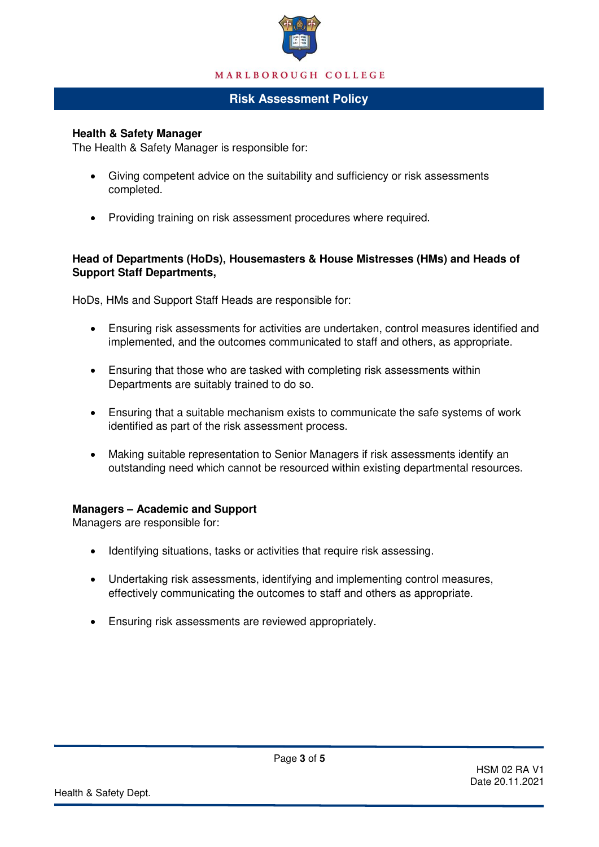

## **Risk Assessment Policy**

### **Health & Safety Manager**

The Health & Safety Manager is responsible for:

- Giving competent advice on the suitability and sufficiency or risk assessments completed.
- Providing training on risk assessment procedures where required.

## **Head of Departments (HoDs), Housemasters & House Mistresses (HMs) and Heads of Support Staff Departments,**

HoDs, HMs and Support Staff Heads are responsible for:

- Ensuring risk assessments for activities are undertaken, control measures identified and implemented, and the outcomes communicated to staff and others, as appropriate.
- Ensuring that those who are tasked with completing risk assessments within Departments are suitably trained to do so.
- Ensuring that a suitable mechanism exists to communicate the safe systems of work identified as part of the risk assessment process.
- Making suitable representation to Senior Managers if risk assessments identify an outstanding need which cannot be resourced within existing departmental resources.

### **Managers – Academic and Support**

Managers are responsible for:

- Identifying situations, tasks or activities that require risk assessing.
- Undertaking risk assessments, identifying and implementing control measures, effectively communicating the outcomes to staff and others as appropriate.

Page **3** of **5** 

Ensuring risk assessments are reviewed appropriately.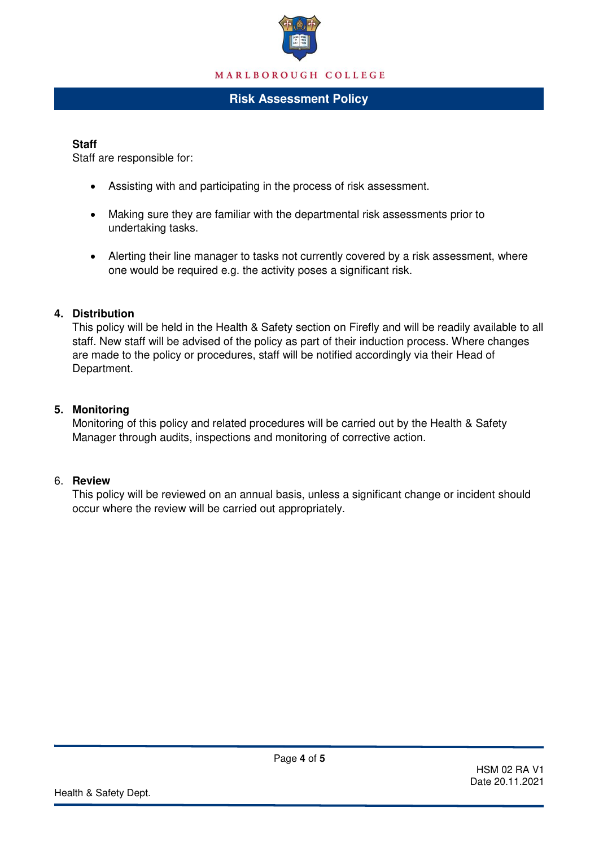

## **Risk Assessment Policy**

#### **Staff**

Staff are responsible for:

- Assisting with and participating in the process of risk assessment.
- Making sure they are familiar with the departmental risk assessments prior to undertaking tasks.
- Alerting their line manager to tasks not currently covered by a risk assessment, where one would be required e.g. the activity poses a significant risk.

### **4. Distribution**

This policy will be held in the Health & Safety section on Firefly and will be readily available to all staff. New staff will be advised of the policy as part of their induction process. Where changes are made to the policy or procedures, staff will be notified accordingly via their Head of Department.

### **5. Monitoring**

Monitoring of this policy and related procedures will be carried out by the Health & Safety Manager through audits, inspections and monitoring of corrective action.

## 6. **Review**

This policy will be reviewed on an annual basis, unless a significant change or incident should occur where the review will be carried out appropriately.